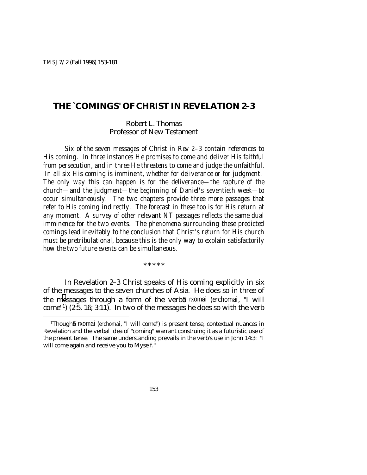# **THE `COMINGS' OF CHRIST IN REVELATION 2–3**

Robert L. Thomas Professor of New Testament

*Six of the seven messages of Christ in Rev 2–3 contain references to His coming. In three instances He promises to come and deliver His faithful from persecution, and in three He threatens to come and judge the unfaithful. In all six His coming is imminent, whether for deliverance or for judgment. The only way this can happen is for the deliverance—the rapture of the church—and the judgment—the beginning of Daniel's seventieth week—to occur simultaneously. The two chapters provide three more passages that refer to His coming indirectly. The forecast in these too is for His return at any moment. A survey of other relevant NT passages reflects the same dual imminence for the two events. The phenomena surrounding these predicted comings lead inevitably to the conclusion that Christ's return for His church must be pretribulational, because this is the only way to explain satisfactorily how the two future events can be simultaneous.*

\* \* \* \* \*

In Revelation 2–3 Christ speaks of His coming explicitly in six of the messages to the seven churches of Asia. He does so in three of the messages through a form of the verb<sup>5</sup> rxomai (*erchomai*, "I will come"1) (2:5, 16; 3:11). In two of the messages he does so with the verb

<sup>&</sup>lt;sup>1</sup>Though<sub>b</sub> rxomai (*erchomai*, "I will come") is present tense, contextual nuances in Revelation and the verbal idea of "coming" warrant construing it as a futuristic use of the present tense. The same understanding prevails in the verb's use in John 14:3: "I will come again and receive you to Myself."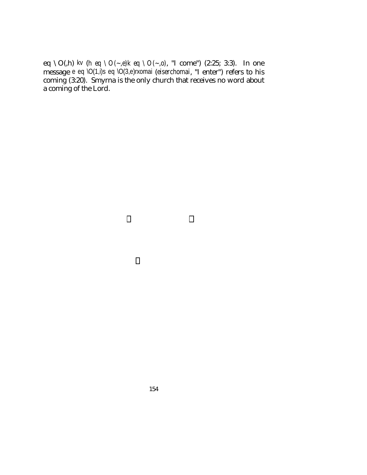eq \O(,h) kv (*h eq \O(~,e)k eq \O(~,o)*, "I come") (2:25; 3:3). In one message e eq \O(1,i)s eq \O(3,e)rxomai (*eiserchomai*, "I enter") refers to his coming (3:20). Smyrna is the only church that receives no word about a coming of the Lord.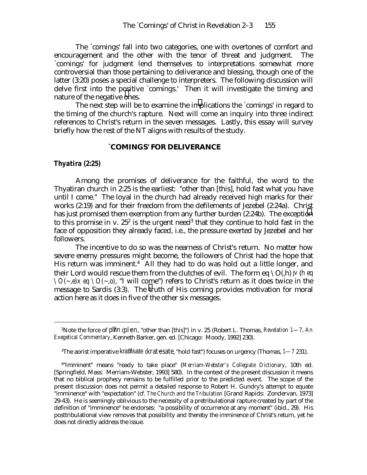The `comings' fall into two categories, one with overtones of comfort and encouragement and the other with the tenor of threat and judgment. The `comings' for judgment lend themselves to interpretations somewhat more controversial than those pertaining to deliverance and blessing, though one of the latter (3:20) poses a special challenge to interpreters. The following discussion will delve first into the positive `comings.' Then it will investigate the timing and nature of the negative ones.

The next step will be to examine the implications the `comings' in regard to the timing of the church's rapture. Next will come an inquiry into three indirect references to Christ's return in the seven messages. Lastly, this essay will survey briefly how the rest of the NT aligns with results of the study.

#### **`COMINGS' FOR DELIVERANCE**

#### *Thyatira (2:25)*

Among the promises of deliverance for the faithful, the word to the Thyatiran church in 2:25 is the earliest: "other than [this], hold fast what you have until I come." The loyal in the church had already received high marks for their works (2:19) and for their freedom from the defilements of Jezebel (2:24a). Christ has just promised them exemption from any further burden (2:24b). The exception to this promise in v.  $25^2$  is the urgent need<sup>3</sup> that they continue to hold fast in the face of opposition they already faced, i.e., the pressure exerted by Jezebel and her followers.

The incentive to do so was the nearness of Christ's return. No matter how severe enemy pressures might become, the followers of Christ had the hope that His return was imminent.<sup>4</sup> All they had to do was hold out a little longer, and their Lord would rescue them from the clutches of evil. The form eq  $\setminus O(h)$  jv (*h eq*  $\langle O(\sim, e)x \, eq \, \rangle O(\sim, o)$ , "I will come") refers to Christ's return as it does twice in the message to Sardis (3:3). The truth of His coming provides motivation for moral action here as it does in five of the other six messages.

<sup>&</sup>lt;sup>2</sup>Note the force of pl $\ln (p\ell n)$ , "other than [this]") in v. 25 (Robert L. Thomas, *Revelation 1—7, An Exegetical Commentary*, Kenneth Barker, gen. ed. [Chicago: Moody, 1992] 230).

 <sup>3</sup>The aorist imperative krat/hsate (*krat~esate*, "hold fast") focuses on urgency (Thomas, *1—7* 231).

 <sup>4</sup> "Imminent" means "ready to take place" (*Merriam-Webster's Collegiate Dictionary*, 10th ed. [Springfield, Mass: Merriam-Webster, 1993] 580). In the context of the present discussion it means that no biblical prophecy remains to be fulfilled prior to the predicted event. The scope of the present discussion does not permit a detailed response to Robert H. Gundry's attempt to equate "imminence" with "expectation" (cf. *The Church and the Tribulation* [Grand Rapids: Zondervan, 1973] 29-43). He is seemingly oblivious to the necessity of a pretribulational rapture created by part of the definition of "imminence" he endorses: "a possibility of occurrence at any moment" (ibid., 29). His posttribulational view removes that possibility and thereby the imminence of Christ's return, yet he does not directly address the issue.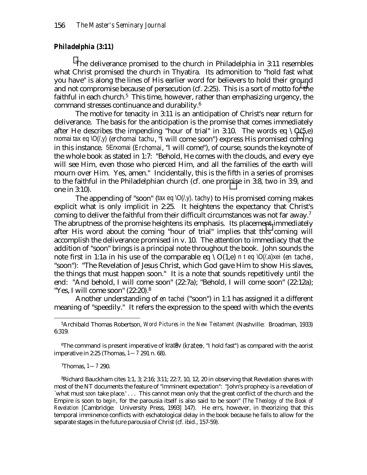#### *Philadelphia (3:11)*

The deliverance promised to the church in Philadelphia in 3:11 resembles what Christ promised the church in Thyatira. Its admonition to "hold fast what you have" is along the lines of His earlier word for believers to hold their ground and not compromise because of persecution (cf. 2:25). This is a sort of motto for the faithful in each church.<sup>5</sup> This time, however, rather than emphasizing urgency, the command stresses continuance and durability.6

The motive for tenacity in 3:11 is an anticipation of Christ's near return for deliverance. The basis for the anticipation is the promise that comes immediately after He describes the impending "hour of trial" in 3:10. The words eq  $\setminus O(5,e)$ rxomai tax eq \O(/,y) (*erchomai tachu*, "I will come soon") express His promised coming in this instance. 5Erxomai (*Erchomai*, "I will come"), of course, sounds the keynote of the whole book as stated in 1:7: "Behold, He comes with the clouds, and every eye will see Him, even those who pierced Him, and all the families of the earth will mourn over Him. Yes, amen." Incidentally, this is the fifth in a series of promises to the faithful in the Philadelphian church (cf. one promise in 3:8, two in 3:9, and one in 3:10).

The appending of "soon" (tax eq  $\mathcal{O}(\ell, y)$ , *tachy*) to His promised coming makes explicit what is only implicit in 2:25. It heightens the expectancy that Christ's coming to deliver the faithful from their difficult circumstances was not far away.7 The abruptness of the promise heightens its emphasis. Its placement immediately after His word about the coming "hour of trial" implies that this coming will accomplish the deliverance promised in v. 10. The attention to immediacy that the addition of "soon" brings is a principal note throughout the book. John sounds the note first in 1:1a in his use of the comparable eq  $\setminus O(1,e)$  n t eq  $\setminus O(1,e)$  *n* t *eq*  $\setminus O(1,e)$ "soon"): "The Revelation of Jesus Christ, which God gave Him to show His slaves, the things that must happen soon." It is a note that sounds repetitively until the end: "And behold, I will come soon" (22:7a); "Behold, I will come soon" (22:12a); "Yes, I will come soon" (22:20).8

Another understanding of *en tachei* ("soon") in 1:1 has assigned it a different meaning of "speedily." It refers the expression to the speed with which the events

<sup>6</sup>The command is present imperative of krat&v (*krate&*, "I hold fast") as compared with the aorist imperative in 2:25 (Thomas, *1—7* 291 n. 68).

7Thomas, *1—7* 290.

 <sup>5</sup> Archibald Thomas Robertson, *Word Pictures in the New Testament* (Nashville: Broadman, 1933) 6:319.

 <sup>8</sup>Richard Bauckham cites 1:1, 3; 2:16; 3:11; 22:7, 10, 12, 20 in observing that Revelation shares with most of the NT documents the feature of "imminent expectation": "John's prophecy is a revelation of `what must *soon* take place.' . . . This cannot mean only that the great conflict of the church and the Empire is soon to *begin*, for the parousia itself is also said to be soon" (*The Theology of the Book of Revelation* [Cambridge: University Press, 1993] 147). He errs, however, in theorizing that this temporal imminence conflicts with eschatological delay in the book because he fails to allow for the separate stages in the future parousia of Christ (cf. ibid., 157-59).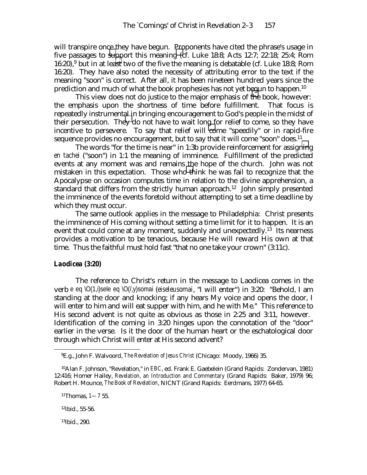will transpire once they have begun. Proponents have cited the phrase's usage in five passages to support this meaning (cf. Luke 18:8; Acts 12:7; 22:18; 25:4; Rom 16:20),<sup>9</sup> but in at least two of the five the meaning is debatable (cf. Luke 18:8; Rom 16:20). They have also noted the necessity of attributing error to the text if the meaning "soon" is correct. After all, it has been nineteen hundred years since the prediction and much of what the book prophesies has not yet begun to happen.10

This view does not do justice to the major emphasis of the book, however: the emphasis upon the shortness of time before fulfillment. That focus is repeatedly instrumental in bringing encouragement to God's people in the midst of their persecution. They do not have to wait long for relief to come, so they have incentive to persevere. To say that relief will come "speedily" or in rapid-fire sequence provides no encouragement, but to say that it will come "soon" does.<sup>11</sup>

The words "for the time is near" in 1:3b provide reinforcement for assigning *en tachei* ("soon") in 1:1 the meaning of imminence. Fulfillment of the predicted events at any moment was and remains the hope of the church. John was not mistaken in this expectation. Those who think he was fail to recognize that the Apocalypse on occasion computes time in relation to the divine apprehension, a standard that differs from the strictly human approach.<sup>12</sup> John simply presented the imminence of the events foretold without attempting to set a time deadline by which they must occur.

The same outlook applies in the message to Philadelphia: Christ presents the imminence of His coming without setting a time limit for it to happen. It is an event that could come at any moment, suddenly and unexpectedly.<sup>13</sup> Its nearness provides a motivation to be tenacious, because He will reward His own at that time. Thus the faithful must hold fast "that no one take your crown" (3:11c).

### *Laodicea (3:20)*

The reference to Christ's return in the message to Laodicea comes in the verb e eq \O(1,i)sele eq \O(/,y)somai (*eiseleusomai*, "I will enter") in 3:20: "Behold, I am standing at the door and knocking; if any hears My voice and opens the door, I will enter to him and will eat supper with him, and he with Me." This reference to His second advent is not quite as obvious as those in 2:25 and 3:11, however. Identification of the coming in 3:20 hinges upon the connotation of the "door" earlier in the verse. Is it the door of the human heart or the eschatological door through which Christ will enter at His second advent?

12Ibid., 55-56.

13Ibid., 290.

 <sup>9</sup> E.g., John F. Walvoord, *The Revelation of Jesus Christ* (Chicago: Moody, 1966) 35.

 <sup>10</sup>Alan F. Johnson, "Revelation," in *EBC*, ed. Frank E. Gaebelein (Grand Rapids: Zondervan, 1981) 12:416; Homer Hailey, *Revelation, an Introduction and Commentary* (Grand Rapids: Baker, 1979) 96; Robert H. Mounce, *The Book of Revelation*, NICNT (Grand Rapids: Eerdmans, 1977) 64-65.

 <sup>11</sup>Thomas, *1—7* 55.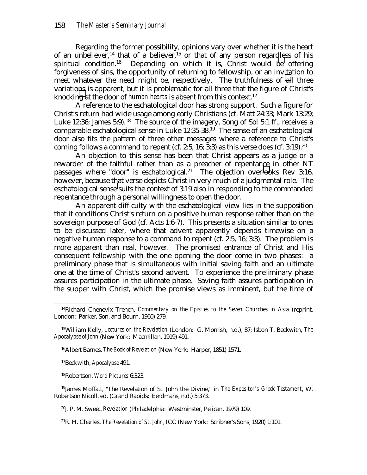Regarding the former possibility, opinions vary over whether it is the heart of an unbeliever,<sup>14</sup> that of a believer,<sup>15</sup> or that of any person regardless of his spiritual condition.<sup>16</sup> Depending on which it is, Christ would be offering forgiveness of sins, the opportunity of returning to fellowship, or an invitation to meet whatever the need might be, respectively. The truthfulness of all three variations is apparent, but it is problematic for all three that the figure of Christ's knocking at the door of *human hearts* is absent from this context.17

A reference to the eschatological door has strong support. Such a figure for Christ's return had wide usage among early Christians (cf. Matt 24:33; Mark 13:29; Luke 12:36; James 5:9).<sup>18</sup> The source of the imagery, Song of Sol 5:1 ff., receives a comparable eschatological sense in Luke  $12:35-38$ .<sup>19</sup> The sense of an eschatological door also fits the pattern of three other messages where a reference to Christ's coming follows a command to repent (cf. 2:5, 16; 3:3) as this verse does (cf. 3:19).<sup>20</sup>

An objection to this sense has been that Christ appears as a judge or a rewarder of the faithful rather than as a preacher of repentance in other NT passages where "door" is eschatological.<sup>21</sup> The objection overlooks Rev 3:16, however, because that verse depicts Christ in very much of a judgmental role. The eschatological sense suits the context of 3:19 also in responding to the commanded repentance through a personal willingness to open the door.

An apparent difficulty with the eschatological view lies in the supposition that it conditions Christ's return on a positive human response rather than on the sovereign purpose of God (cf. Acts 1:6-7). This presents a situation similar to ones to be discussed later, where that advent apparently depends timewise on a negative human response to a command to repent (cf. 2:5, 16; 3:3). The problem is more apparent than real, however. The promised entrance of Christ and His consequent fellowship with the one opening the door come in two phases: a preliminary phase that is simultaneous with initial saving faith and an ultimate one at the time of Christ's second advent. To experience the preliminary phase assures participation in the ultimate phase. Saving faith assures participation in the supper with Christ, which the promise views as imminent, but the time of

16Albert Barnes, *The Book of Revelation* (New York: Harper, 1851) 1571.

17Beckwith, *Apocalypse* 491.

18Robertson, *Word Pictures* 6:323.

 19James Moffatt, "The Revelation of St. John the Divine," in *The Expositor's Greek Testament*, W. Robertson Nicoll, ed. (Grand Rapids: Eerdmans, n.d.) 5:373.

20J. P. M. Sweet, *Revelation* (Philadelphia: Westminster, Pelican, 1979) 109.

21R. H. Charles, *The Revelation of St. John*, ICC (New York: Scribner's Sons, 1920) 1:101.

 <sup>14</sup>Richard Chenevix Trench, *Commentary on the Epistles to the Seven Churches in Asia* (reprint, London: Parker, Son, and Bourn, 1960) 279.

 <sup>15</sup>William Kelly, *Lectures on the Revelation* (London: G. Morrish, n.d.), 87; Isbon T. Beckwith, *The Apocalypse of John* (New York: Macmillan, 1919) 491.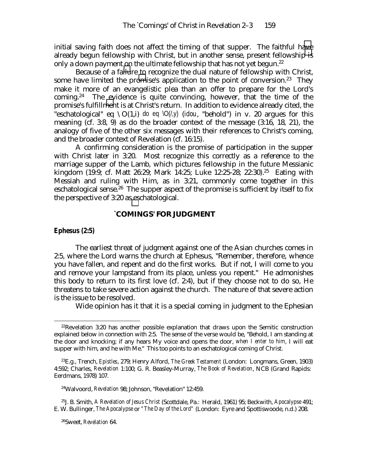initial saving faith does not affect the timing of that supper. The faithful have already begun fellowship with Christ, but in another sense, present fellowship is only a down payment on the ultimate fellowship that has not yet begun.<sup>22</sup>

Because of a failure to recognize the dual nature of fellowship with Christ, some have limited the promise's application to the point of conversion.<sup>23</sup> They make it more of an evangelistic plea than an offer to prepare for the Lord's coming.24 The evidence is quite convincing, however, that the time of the promise's fulfillment is at Christ's return. In addition to evidence already cited, the "eschatological" eq  $\setminus O(1,i)$  do eq  $\setminus O(\frac{1}{s})$  *(idou*, "behold") in v. 20 argues for this meaning (cf. 3:8, 9) as do the broader context of the message (3:16, 18, 21), the analogy of five of the other six messages with their references to Christ's coming, and the broader context of Revelation (cf. 16:15).

A confirming consideration is the promise of participation in the supper with Christ later in 3:20. Most recognize this correctly as a reference to the marriage supper of the Lamb, which pictures fellowship in the future Messianic kingdom (19:9; cf. Matt 26:29; Mark 14:25; Luke 12:25-28; 22:30).<sup>25</sup> Eating with Messiah and ruling with Him, as in 3:21, commonly come together in this eschatological sense.<sup>26</sup> The supper aspect of the promise is sufficient by itself to fix the perspective of 3:20 as eschatological.

### **`COMINGS' FOR JUDGMENT**

#### *Ephesus (2:5)*

The earliest threat of judgment against one of the Asian churches comes in 2:5, where the Lord warns the church at Ephesus, "Remember, therefore, whence you have fallen, and repent and do the first works. But if not, I will come to you and remove your lampstand from its place, unless you repent." He admonishes this body to return to its first love (cf. 2:4), but if they choose not to do so, He threatens to take severe action against the church. The nature of that severe action is the issue to be resolved.

Wide opinion has it that it is a special coming in judgment to the Ephesian

 $22$ Revelation 3:20 has another possible explanation that draws upon the Semitic construction explained below in connection with 2:5. The sense of the verse would be, "Behold, I am standing at the door and knocking; if any hears My voice and opens the door, *when I enter to him*, I will eat supper with him, and he with Me." This too points to an eschatological coming of Christ.

 <sup>23</sup>E.g., Trench, *Epistles*, 279; Henry Alford, *The Greek Testament* (London: Longmans, Green, 1903) 4:592; Charles, *Revelation* 1:100; G. R. Beasley-Murray, *The Book of Revelation*, NCB (Grand Rapids: Eerdmans, 1978) 107.

 <sup>24</sup>Walvoord, *Revelation* 98; Johnson, "Revelation" 12:459.

 <sup>25</sup>J. B. Smith, *A Revelation of Jesus Christ* (Scottdale, Pa.: Herald, 1961) 95; Beckwith, *Apocalypse* 491; E. W. Bullinger, *The Apocalypse* or *"The Day of the Lord"* (London: Eyre and Spottiswoode, n.d.) 208.

 <sup>26</sup>Sweet, *Revelation* 64.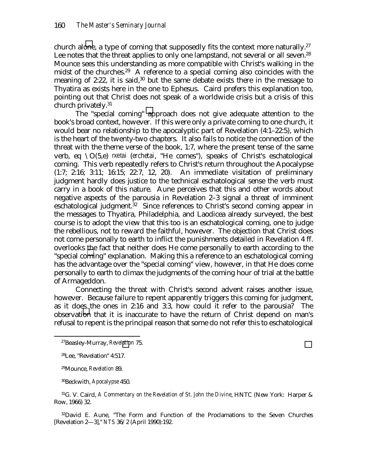church alone, a type of coming that supposedly fits the context more naturally.<sup>27</sup> Lee notes that the threat applies to only one lampstand, not several or all seven.<sup>28</sup> Mounce sees this understanding as more compatible with Christ's walking in the midst of the churches.<sup>29</sup> A reference to a special coming also coincides with the meaning of 2:22, it is said,  $30$  but the same debate exists there in the message to Thyatira as exists here in the one to Ephesus. Caird prefers this explanation too, pointing out that Christ does not speak of a worldwide crisis but a crisis of this church privately.31

The "special coming" approach does not give adequate attention to the book's broad context, however. If this were only a private coming to one church, it would bear no relationship to the apocalyptic part of Revelation (4:1–22:5), which is the heart of the twenty-two chapters. It also fails to notice the connection of the threat with the theme verse of the book, 1:7, where the present tense of the same verb, eq \O(5,e) rxetai (*erchetai*, "He comes"), speaks of Christ's eschatological coming. This verb repeatedly refers to Christ's return throughout the Apocalypse (1:7; 2:16; 3:11; 16:15; 22:7, 12, 20). An immediate visitation of preliminary judgment hardly does justice to the technical eschatological sense the verb must carry in a book of this nature. Aune perceives that this and other words about negative aspects of the parousia in Revelation 2–3 signal a threat of imminent eschatological judgment.<sup>32</sup> Since references to Christ's second coming appear in the messages to Thyatira, Philadelphia, and Laodicea already surveyed, the best course is to adopt the view that this too is an eschatological coming, one to judge the rebellious, not to reward the faithful, however. The objection that Christ does not come personally to earth to inflict the punishments detailed in Revelation 4 ff. overlooks the fact that neither does He come personally to earth according to the "special coming" explanation. Making this a reference to an eschatological coming has the advantage over the "special coming" view, however, in that He does come personally to earth to climax the judgments of the coming hour of trial at the battle of Armageddon.

Connecting the threat with Christ's second advent raises another issue, however. Because failure to repent apparently triggers this coming for judgment, as it does the ones in 2:16 and 3:3, how could it refer to the parousia? The observation that it is inaccurate to have the return of Christ depend on man's refusal to repent is the principal reason that some do not refer this to eschatological

29Mounce, *Revelation* 89.

30Beckwith, *Apocalypse* 450.

 31G. V. Caird, *A Commentary on the Revelation of St. John the Divine*, HNTC (New York: Harper & Row, 1966) 32.

 32David E. Aune, "The Form and Function of the Proclamations to the Seven Churches [Revelation 2—3]," *NTS* 36/2 (April 1990):192.

 <sup>27</sup>Beasley-Murray, *Revelation* 75.

 <sup>28</sup>Lee, "Revelation" 4:517.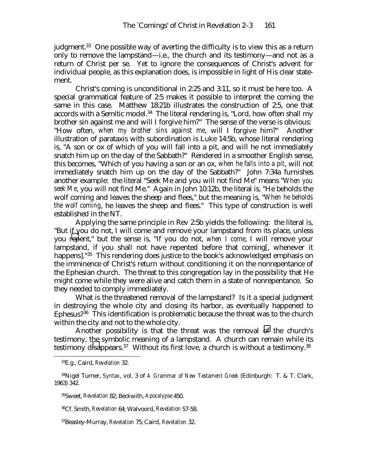judgment.<sup>33</sup> One possible way of averting the difficulty is to view this as a return only to remove the lampstand—i.e., the church and its testimony—and not as a return of Christ per se. Yet to ignore the consequences of Christ's advent for individual people, as this explanation does, is impossible in light of His clear statement.

Christ's coming is unconditional in 2:25 and 3:11, so it must be here too. A special grammatical feature of 2:5 makes it possible to interpret the coming the same in this case. Matthew 18:21b illustrates the construction of 2:5, one that accords with a Semitic model.<sup>34</sup> The literal rendering is, "Lord, how often shall my brother sin against me and will I forgive him?" The sense of the verse is obvious: "How often, *when my brother sins against me*, will I forgive him?" Another illustration of parataxis with subordination is Luke 14:5b, whose literal rendering is, "A son or ox of which of you will fall into a pit, and will he not immediately snatch him up on the day of the Sabbath?" Rendered in a smoother English sense, this becomes, "Which of you having a son or an ox, *when he falls into a pit*, will not immediately snatch him up on the day of the Sabbath?" John 7:34a furnishes another example: the literal "Seek Me and you will not find Me" means "*When you seek Me*, you will not find Me." Again in John 10:12b, the literal is, "He beholds the wolf coming and leaves the sheep and flees," but the meaning is, "*When he beholds the wolf coming*, he leaves the sheep and flees." This type of construction is well established in the NT.

Applying the same principle in Rev 2:5b yields the following: the literal is, "But if you do not, I will come and remove your lampstand from its place, unless you repent," but the sense is, "If you do not, *when I come*, I will remove your lampstand, if you shall not have repented before that coming[, whenever it happens]."<sup>35</sup> This rendering does justice to the book's acknowledged emphasis on the imminence of Christ's return without conditioning it on the nonrepentance of the Ephesian church. The threat to this congregation lay in the possibility that He might come while they were alive and catch them in a state of nonrepentance. So they needed to comply immediately.

What is the threatened removal of the lampstand? Is it a special judgment in destroying the whole city and closing its harbor, as eventually happened to Ephesus?36 This identification is problematic because the threat was to the church within the city and not to the whole city.

Another possibility is that the threat was the removal of the church's testimony, the symbolic meaning of a lampstand. A church can remain while its testimony disappears.<sup>37</sup> Without its first love, a church is without a testimony.<sup>38</sup>

 <sup>33</sup>E.g., Caird, *Revelation* 32.

 <sup>34</sup>Nigel Turner, *Syntax*, vol. 3 of *A Grammar of New Testament Greek* (Edinburgh: T. & T. Clark, 1963) 342.

 <sup>35</sup>Sweet, *Revelation* 82; Beckwith, *Apocalypse* 450.

 <sup>36</sup>Cf. Smith, *Revelation* 64; Walvoord, *Revelation* 57-58.

 <sup>37</sup>Beasley-Murray, *Revelation* 75; Caird, *Revelation* 32.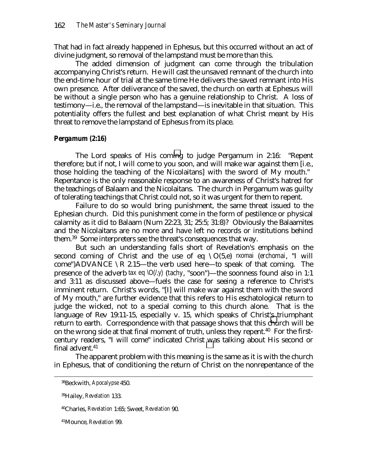That had in fact already happened in Ephesus, but this occurred without an act of divine judgment, so removal of the lampstand must be more than this.

The added dimension of judgment can come through the tribulation accompanying Christ's return. He will cast the unsaved remnant of the church into the end-time hour of trial at the same time He delivers the saved remnant into His own presence. After deliverance of the saved, the church on earth at Ephesus will be without a single person who has a genuine relationship to Christ. A loss of testimony—i.e., the removal of the lampstand—is inevitable in that situation. This potentiality offers the fullest and best explanation of what Christ meant by His threat to remove the lampstand of Ephesus from its place.

## *Pergamum (2:16)*

The Lord speaks of His coming to judge Pergamum in 2:16: "Repent therefore; but if not, I will come to you soon, and will make war against them [i.e., those holding the teaching of the Nicolaitans] with the sword of My mouth." Repentance is the only reasonable response to an awareness of Christ's hatred for the teachings of Balaam and the Nicolaitans. The church in Pergamum was guilty of tolerating teachings that Christ could not, so it was urgent for them to repent.

Failure to do so would bring punishment, the same threat issued to the Ephesian church. Did this punishment come in the form of pestilence or physical calamity as it did to Balaam (Num 22:23, 31; 25:5; 31:8)? Obviously the Balaamites and the Nicolaitans are no more and have left no records or institutions behind them.39 Some interpreters see the threat's consequences that way.

But such an understanding falls short of Revelation's emphasis on the second coming of Christ and the use of eq \O(5,e) rxomai (*erchomai*, "I will come")ADVANCE \R 2.15—the verb used here—to speak of that coming. The presence of the adverb tax eq  $\mathcal{O}(\ell, y)$  (*tachy*, "soon")—the soonness found also in 1:1 and 3:11 as discussed above—fuels the case for seeing a reference to Christ's imminent return. Christ's words, "[I] will make war against them with the sword of My mouth," are further evidence that this refers to His eschatological return to judge the wicked, not to a special coming to this church alone. That is the language of Rev 19:11-15, especially v. 15, which speaks of Christ's triumphant return to earth. Correspondence with that passage shows that this church will be on the wrong side at that final moment of truth, unless they repent.<sup>40</sup> For the firstcentury readers, "I will come" indicated Christ was talking about His second or final advent.<sup>41</sup>

The apparent problem with this meaning is the same as it is with the church in Ephesus, that of conditioning the return of Christ on the nonrepentance of the

 <sup>38</sup>Beckwith, *Apocalypse* 450.

 <sup>39</sup>Hailey, *Revelation* 133.

 <sup>40</sup>Charles, *Revelation* 1:65; Sweet, *Revelation* 90.

 <sup>41</sup>Mounce, *Revelation* 99.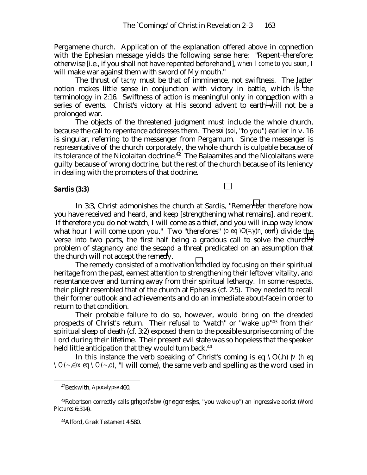Pergamene church. Application of the explanation offered above in connection with the Ephesian message yields the following sense here: "Repent therefore; otherwise [i.e., if you shall not have repented beforehand], *when I come to you soon*, I will make war against them with sword of My mouth."

The thrust of *tachy* must be that of imminence, not swiftness. The latter notion makes little sense in conjunction with victory in battle, which is the terminology in 2:16. Swiftness of action is meaningful only in connection with a series of events. Christ's victory at His second advent to earth will not be a prolonged war.

The objects of the threatened judgment must include the whole church, because the call to repentance addresses them. The soi (*soi*, "to you") earlier in v. 16 is singular, referring to the messenger from Pergamum. Since the messenger is representative of the church corporately, the whole church is culpable because of its tolerance of the Nicolaitan doctrine.<sup>42</sup> The Balaamites and the Nicolaitans were guilty because of wrong doctrine, but the rest of the church because of its leniency in dealing with the promoters of that doctrine.

### *Sardis (3:3)*

In 3:3, Christ admonishes the church at Sardis, "Remember therefore how you have received and heard, and keep [strengthening what remains], and repent. If therefore you do not watch, I will come as a thief, and you will in no way know what hour I will come upon you." Two "therefores" (o eq \O(=,y)n, *oun*) divide the verse into two parts, the first half being a gracious call to solve the church's problem of stagnancy and the second a threat predicated on an assumption that the church will not accept the remedy.

The remedy consisted of a motivation kindled by focusing on their spiritual heritage from the past, earnest attention to strengthening their leftover vitality, and repentance over and turning away from their spiritual lethargy. In some respects, their plight resembled that of the church at Ephesus (cf. 2:5). They needed to recall their former outlook and achievements and do an immediate about-face in order to return to that condition.

Their probable failure to do so, however, would bring on the dreaded prospects of Christ's return. Their refusal to "watch" or "wake up"43 from their spiritual sleep of death (cf. 3:2) exposed them to the possible surprise coming of the Lord during their lifetime. Their present evil state was so hopeless that the speaker held little anticipation that they would turn back.<sup>44</sup>

In this instance the verb speaking of Christ's coming is eq  $\setminus O(h)$  jv (*h eq*  $\O(\sim, e)x$  *eq*  $\O(\sim, o)$ , "I will come), the same verb and spelling as the word used in

 <sup>42</sup>Beckwith, *Apocalypse* 460.

<sup>&</sup>lt;sup>43</sup>Robertson correctly calls grhgorhshw (*gregores*  $\oint s$ , "you wake up") an ingressive aorist (*Word Pictures* 6:314).

 <sup>44</sup>Alford, *Greek Testament* 4:580.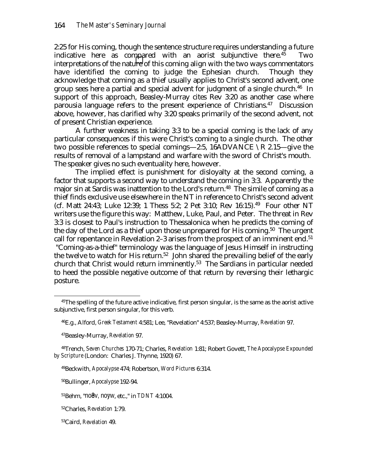2:25 for His coming, though the sentence structure requires understanding a future indicative here as compared with an aorist subjunctive there.45 Two interpretations of the nature of this coming align with the two ways commentators have identified the coming to judge the Ephesian church. Though they acknowledge that coming as a thief usually applies to Christ's second advent, one group sees here a partial and special advent for judgment of a single church.<sup>46</sup> In support of this approach, Beasley-Murray cites Rev 3:20 as another case where parousia language refers to the present experience of Christians.47 Discussion above, however, has clarified why 3:20 speaks primarily of the second advent, not of present Christian experience.

A further weakness in taking 3:3 to be a special coming is the lack of any particular consequences if this were Christ's coming to a single church. The other two possible references to special comings—2:5, 16ADVANCE  $\setminus$ R 2.15—give the results of removal of a lampstand and warfare with the sword of Christ's mouth. The speaker gives no such eventuality here, however.

The implied effect is punishment for disloyalty at the second coming, a factor that supports a second way to understand the coming in 3:3. Apparently the major sin at Sardis was inattention to the Lord's return.<sup>48</sup> The simile of coming as a thief finds exclusive use elsewhere in the NT in reference to Christ's second advent (cf. Matt 24:43; Luke 12:39; 1 Thess 5:2; 2 Pet 3:10; Rev 16:15).49 Four other NT writers use the figure this way: Matthew, Luke, Paul, and Peter. The threat in Rev 3:3 is closest to Paul's instruction to Thessalonica when he predicts the coming of the day of the Lord as a thief upon those unprepared for His coming.<sup>50</sup> The urgent call for repentance in Revelation 2–3 arises from the prospect of an imminent end.<sup>51</sup> "Coming-as-a-thief" terminology was the language of Jesus Himself in instructing the twelve to watch for His return.<sup>52</sup> John shared the prevailing belief of the early church that Christ would return imminently.53 The Sardians in particular needed to heed the possible negative outcome of that return by reversing their lethargic posture.

47Beasley-Murray, *Revelation* 97.

 <sup>45</sup>The spelling of the future active indicative, first person singular, is the same as the aorist active subjunctive, first person singular, for this verb.

 <sup>46</sup>E.g., Alford, *Greek Testament* 4:581; Lee, "Revelation" 4:537; Beasley-Murray, *Revelation* 97.

 <sup>48</sup>Trench, *Seven Churches* 170-71; Charles, *Revelation* 1:81; Robert Govett, *The Apocalypse Expounded by Scripture* (London: Charles J. Thynne, 1920) 67.

 <sup>49</sup>Beckwith, *Apocalypse* 474; Robertson, *Word Pictures* 6:314.

 <sup>50</sup>Bullinger, *Apocalypse* 192-94.

<sup>51</sup>Behm, "no<sub>3</sub>ev, noyw, etc.," in *TDNT* 4:1004.

 <sup>52</sup>Charles, *Revelation* 1:79.

 <sup>53</sup>Caird, *Revelation* 49.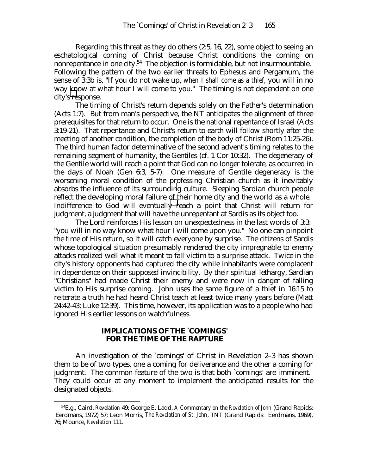Regarding this threat as they do others (2:5, 16, 22), some object to seeing an eschatological coming of Christ because Christ conditions the coming on nonrepentance in one city.<sup>54</sup> The objection is formidable, but not insurmountable. Following the pattern of the two earlier threats to Ephesus and Pergamum, the sense of 3:3b is, "If you do not wake up, *when I shall come as a thief*, you will in no way know at what hour I will come to you." The timing is not dependent on one city's response.

The timing of Christ's return depends solely on the Father's determination (Acts 1:7). But from man's perspective, the NT anticipates the alignment of three prerequisites for that return to occur. One is the national repentance of Israel (Acts 3:19-21). That repentance and Christ's return to earth will follow shortly after the meeting of another condition, the completion of the body of Christ (Rom 11:25-26). The third human factor determinative of the second advent's timing relates to the remaining segment of humanity, the Gentiles (cf. 1 Cor 10:32). The degeneracy of the Gentile world will reach a point that God can no longer tolerate, as occurred in the days of Noah (Gen 6:3, 5-7). One measure of Gentile degeneracy is the worsening moral condition of the professing Christian church as it inevitably absorbs the influence of its surrounding culture. Sleeping Sardian church people reflect the developing moral failure of their home city and the world as a whole. Indifference to God will eventually reach a point that Christ will return for judgment, a judgment that will have the unrepentant at Sardis as its object too.

The Lord reinforces His lesson on unexpectedness in the last words of 3:3: "you will in no way know what hour I will come upon you." No one can pinpoint the time of His return, so it will catch everyone by surprise. The citizens of Sardis whose topological situation presumably rendered the city impregnable to enemy attacks realized well what it meant to fall victim to a surprise attack. Twice in the city's history opponents had captured the city while inhabitants were complacent in dependence on their supposed invincibility. By their spiritual lethargy, Sardian "Christians" had made Christ their enemy and were now in danger of falling victim to His surprise coming. John uses the same figure of a thief in 16:15 to reiterate a truth he had heard Christ teach at least twice many years before (Matt 24:42-43; Luke 12:39). This time, however, its application was to a people who had ignored His earlier lessons on watchfulness.

### **IMPLICATIONS OF THE `COMINGS' FOR THE TIME OF THE RAPTURE**

An investigation of the `comings' of Christ in Revelation 2–3 has shown them to be of two types, one a coming for deliverance and the other a coming for judgment. The common feature of the two is that both `comings' are imminent. They could occur at any moment to implement the anticipated results for the designated objects.

 <sup>54</sup>E.g., Caird, *Revelation* 49; George E. Ladd, *A Commentary on the Revelation of John* (Grand Rapids: Eerdmans, 1972) 57; Leon Morris, *The Revelation of St. John*, TNT (Grand Rapids: Eerdmans, 1969), 76; Mounce, *Revelation* 111.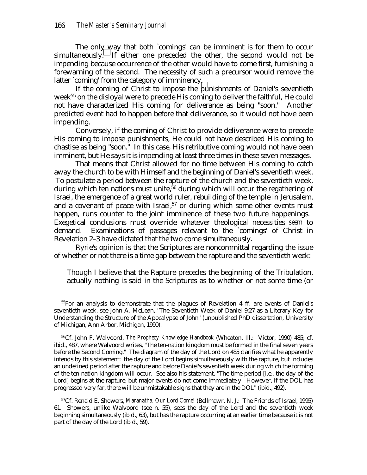The only way that both `comings' can be imminent is for them to occur simultaneously. If either one preceded the other, the second would not be impending because occurrence of the other would have to come first, furnishing a forewarning of the second. The necessity of such a precursor would remove the latter `coming' from the category of imminency.

If the coming of Christ to impose the punishments of Daniel's seventieth week<sup>55</sup> on the disloyal were to precede His coming to deliver the faithful, He could not have characterized His coming for deliverance as being "soon." Another predicted event had to happen before that deliverance, so it would not have been impending.

Conversely, if the coming of Christ to provide deliverance were to precede His coming to impose punishments, He could not have described His coming to chastise as being "soon." In this case, His retributive coming would not have been imminent, but He says it is impending at least three times in these seven messages.

That means that Christ allowed for no time between His coming to catch away the church to be with Himself and the beginning of Daniel's seventieth week. To postulate a period between the rapture of the church and the seventieth week, during which ten nations must unite,<sup>56</sup> during which will occur the regathering of Israel, the emergence of a great world ruler, rebuilding of the temple in Jerusalem, and a covenant of peace with Israel,<sup>57</sup> or during which some other events must happen, runs counter to the joint imminence of these two future happenings. Exegetical conclusions must override whatever theological necessities *seem* to demand. Examinations of passages relevant to the `comings' of Christ in Revelation 2–3 have dictated that the two come simultaneously.

Ryrie's opinion is that the Scriptures are noncommittal regarding the issue of whether or not there is a time gap between the rapture and the seventieth week:

Though I believe that the Rapture precedes the beginning of the Tribulation, actually nothing is said in the Scriptures as to whether or not some time (or

 <sup>55</sup>For an analysis to demonstrate that the plagues of Revelation 4 ff. are events of Daniel's seventieth week, see John A. McLean, "The Seventieth Week of Daniel 9:27 as a Literary Key for Understanding the Structure of the Apocalypse of John" (unpublished PhD dissertation, University of Michigan, Ann Arbor, Michigan, 1990).

 <sup>56</sup>Cf. John F. Walvoord, *The Prophecy Knowledge Handbook* (Wheaton, Ill.: Victor, 1990) 485; cf. ibid., 487, where Walvoord writes, "The ten-nation kingdom must be formed in the final seven years before the Second Coming." The diagram of the day of the Lord on 485 clarifies what he apparently intends by this statement: the day of the Lord begins simultaneously with the rapture, but includes an undefined period after the rapture and before Daniel's seventieth week during which the forming of the ten-nation kingdom will occur. See also his statement, "The time period [i.e., the day of the Lord] begins at the rapture, but major events do not come immediately. However, if the DOL has progressed very far, there will be unmistakable signs that they are in the DOL" (ibid., 492).

 <sup>57</sup>Cf. Renald E. Showers, *Maranatha, Our Lord Come!* (Bellmawr, N. J.: The Friends of Israel, 1995) 61. Showers, unlike Walvoord (see n. 55), sees the day of the Lord and the seventieth week beginning simultaneously (ibid., 63), but has the rapture occurring at an earlier time because it is not part of the day of the Lord (ibid., 59).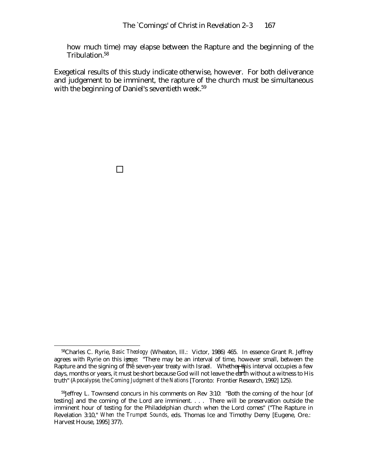how much time) may elapse between the Rapture and the beginning of the Tribulation.58

Exegetical results of this study indicate otherwise, however. For both deliverance and judgement to be imminent, the rapture of the church must be simultaneous with the beginning of Daniel's seventieth week.<sup>59</sup>

 <sup>58</sup>Charles C. Ryrie, *Basic Theology* (Wheaton, Ill.: Victor, 1986) 465. In essence Grant R. Jeffrey agrees with Ryrie on this issue: "There may be an interval of time, however small, between the Rapture and the signing of the seven-year treaty with Israel. Whether this interval occupies a few days, months or years, it must be short because God will not leave the earth without a witness to His truth" (*Apocalypse, the Coming Judgment of the Nations* [Toronto: Frontier Research, 1992] 125).

 <sup>59</sup>Jeffrey L. Townsend concurs in his comments on Rev 3:10: "Both the coming of the hour [of testing] and the coming of the Lord are imminent. . . . There will be preservation outside the imminent hour of testing for the Philadelphian church when the Lord comes" ("The Rapture in Revelation 3:10," *When the Trumpet Sounds*, eds. Thomas Ice and Timothy Demy [Eugene, Ore.: Harvest House, 1995] 377).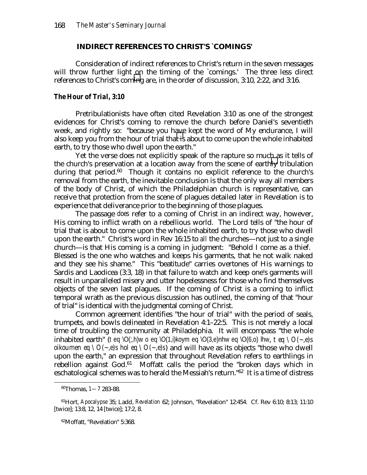#### **INDIRECT REFERENCES TO CHRIST'S `COMINGS'**

Consideration of indirect references to Christ's return in the seven messages will throw further light on the timing of the `comings.' The three less direct references to Christ's coming are, in the order of discussion, 3:10, 2:22, and 3:16.

#### *The Hour of Trial, 3:10*

Pretribulationists have often cited Revelation 3:10 as one of the strongest evidences for Christ's coming to remove the church before Daniel's seventieth week, and rightly so: "because you have kept the word of My endurance, I will also keep you from the hour of trial that is about to come upon the whole inhabited earth, to try those who dwell upon the earth."

Yet the verse does not explicitly speak of the rapture so much as it tells of the church's preservation at a location away from the scene of earthly tribulation during that period. $60$  Though it contains no explicit reference to the church's removal from the earth, the inevitable conclusion is that the only way all members of the body of Christ, of which the Philadelphian church is representative, can receive that protection from the scene of plagues detailed later in Revelation is to experience that deliverance prior to the beginning of those plagues.

The passage *does* refer to a coming of Christ in an indirect way, however, His coming to inflict wrath on a rebellious world. The Lord tells of "the hour of trial that is about to come upon the whole inhabited earth, to try those who dwell upon the earth." Christ's word in Rev 16:15 to *all* the churches—not just to a single church—is that His coming is a coming in judgment: "Behold I come as a thief. Blessed is the one who watches and keeps his garments, that he not walk naked and they see his shame." This "beatitude" carries overtones of His warnings to Sardis and Laodicea (3:3, 18) in that failure to watch and keep one's garments will result in unparalleled misery and utter hopelessness for those who find themselves objects of the seven last plagues. If the coming of Christ is a coming to inflict temporal wrath as the previous discussion has outlined, the coming of that "hour of trial" is identical with the judgmental coming of Christ.

Common agreement identifies "the hour of trial" with the period of seals, trumpets, and bowls delineated in Revelation 4:1–22:5. This is not merely a local time of troubling the community at Philadelphia. It will encompass "the whole inhabited earth" (t eq \O(;,h)w o eq \O(1,i)koym eq \O(3,e)nhw eq \O(6,o) lhw, t eq \O(~,e)s *oikoumen eq*  $\{O(\sim, e) \text{ s } \text{ hol } eq \setminus O(\sim, e) \text{ s }\}$  and will have as its objects "those who dwell upon the earth," an expression that throughout Revelation refers to earthlings in rebellion against God.<sup>61</sup> Moffatt calls the period the "broken days which in eschatological schemes was to herald the Messiah's return."62 It is a time of distress

 <sup>60</sup>Thomas, *1—7* 283-88.

 <sup>61</sup>Hort, *Apocalypse* 35; Ladd, *Revelation* 62; Johnson, "Revelation" 12:454. Cf. Rev 6:10; 8:13; 11:10 [twice]; 13:8, 12, 14 [twice]; 17:2, 8.

 <sup>62</sup>Moffatt, "Revelation" 5:368.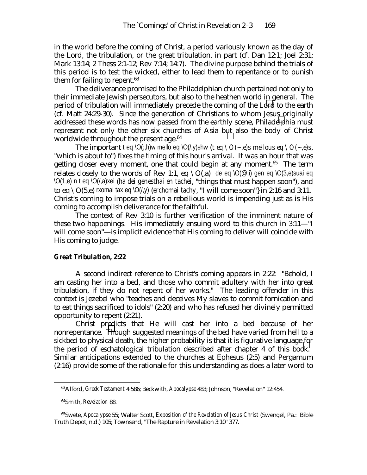in the world before the coming of Christ, a period variously known as the day of the Lord, the tribulation, or the great tribulation, in part (cf. Dan 12:1; Joel 2:31; Mark 13:14; 2 Thess 2:1-12; Rev 7:14; 14:7). The divine purpose behind the trials of this period is to test the wicked, either to lead them to repentance or to punish them for failing to repent. $63$ 

The deliverance promised to the Philadelphian church pertained not only to their immediate Jewish persecutors, but also to the heathen world in general. The period of tribulation will immediately precede the coming of the Lord to the earth (cf. Matt 24:29-30). Since the generation of Christians to whom Jesus originally addressed these words has now passed from the earthly scene, Philadelphia must represent not only the other six churches of Asia but also the body of Christ worldwide throughout the present age.<sup>64</sup>

The important t eq  $\overline{O}(\cdot,h)$ w mello eq  $\overline{O}(\cdot,y)$ shw (*t eq*  $\overline{O}(\sim,e)$ *s mellous eq*  $\overline{O}(\sim,e)$ *s*, "which is about to") fixes the timing of this hour's arrival. It was an hour that was getting closer every moment, one that could begin at any moment.<sup>65</sup> The term relates closely to the words of Rev 1:1, eq  $\setminus O(a)$  de eq  $\setminus O(\mathcal{Q},i)$  gen eq  $\setminus O(3,e)$ suai eq \O(1,e) n t eq \O(/,a)xei (*ha dei genesthai en tachei*, "things that must happen soon"), and to eq  $\setminus$ O(5,e) rxomai tax eq  $\setminus$ O(*l,y*) (*erchomai tachy*, "I will come soon"} in 2:16 and 3:11. Christ's coming to impose trials on a rebellious world is impending just as is His coming to accomplish deliverance for the faithful.

The context of Rev 3:10 is further verification of the imminent nature of these two happenings. His immediately ensuing word to this church in 3:11—"I will come soon"—is implicit evidence that His coming to deliver will coincide with His coming to judge.

## *Great Tribulation, 2:22*

A second indirect reference to Christ's coming appears in 2:22: "Behold, I am casting her into a bed, and those who commit adultery with her into great tribulation, if they do not repent of her works." The leading offender in this context is Jezebel who "teaches and deceives My slaves to commit fornication and to eat things sacrificed to idols" (2:20) and who has refused her divinely permitted opportunity to repent (2:21).

Christ predicts that He will cast her into a bed because of her nonrepentance. Though suggested meanings of the bed have varied from hell to a sickbed to physical death, the higher probability is that it is figurative language for the period of eschatological tribulation described after chapter 4 of this book. Similar anticipations extended to the churches at Ephesus (2:5) and Pergamum (2:16) provide some of the rationale for this understanding as does a later word to

 <sup>63</sup>Alford, *Greek Testament* 4:586; Beckwith, *Apocalypse* 483; Johnson, "Revelation" 12:454.

 <sup>64</sup>Smith, *Revelation* 88.

 <sup>65</sup>Swete, *Apocalypse* 55; Walter Scott, *Exposition of the Revelation of Jesus Christ* (Swengel, Pa.: Bible Truth Depot, n.d.) 105; Townsend, "The Rapture in Revelation 3:10" 377.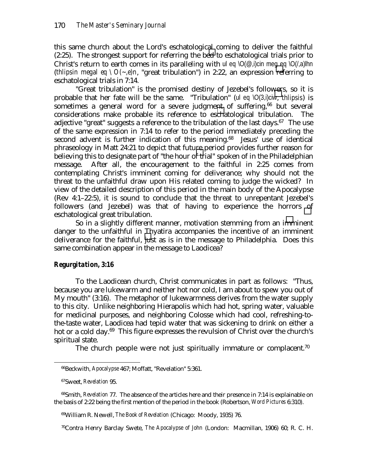this same church about the Lord's eschatological coming to deliver the faithful (2:25). The strongest support for referring the bed to eschatological trials prior to Christ's return to earth comes in its paralleling with  $\mathsf{u}$  eq  $\mathsf{O}(\mathcal{Q},\mathsf{i})$ cin meg eq  $\mathsf{O}(\mathsf{V},\mathsf{a})$ lhn (*thlipsin megal eq*  $\langle O(\sim, e)n \rangle$  "great tribulation") in 2:22, an expression referring to eschatological trials in 7:14.

"Great tribulation" is the promised destiny of Jezebel's followers, so it is probable that her fate will be the same. "Tribulation" (ul eq \O(3,i)ciw, *thlipsis*) is sometimes a general word for a severe judgment of suffering,  $66$  but several considerations make probable its reference to eschatological tribulation. The adjective "great" suggests a reference to the tribulation of the last days.<sup>67</sup> The use of the same expression in 7:14 to refer to the period immediately preceding the second advent is further indication of this meaning. $68$  Jesus' use of identical phraseology in Matt 24:21 to depict that future period provides further reason for believing this to designate part of "the hour of trial" spoken of in the Philadelphian message. After all, the encouragement to the faithful in 2:25 comes from contemplating Christ's imminent coming for deliverance; why should not the threat to the unfaithful draw upon His related coming to judge the wicked? In view of the detailed description of this period in the main body of the Apocalypse (Rev 4:1–22:5), it is sound to conclude that the threat to unrepentant Jezebel's followers (and Jezebel) was that of having to experience the horrors of eschatological great tribulation.

So in a slightly different manner, motivation stemming from an imminent danger to the unfaithful in Thyatira accompanies the incentive of an imminent deliverance for the faithful, just as is in the message to Philadelphia. Does this same combination appear in the message to Laodicea?

## *Regurgitation, 3:16*

To the Laodicean church, Christ communicates in part as follows: "Thus, because you are lukewarm and neither hot nor cold, I am about to spew you out of My mouth" (3:16). The metaphor of lukewarmness derives from the water supply to this city. Unlike neighboring Hierapolis which had hot, spring water, valuable for medicinal purposes, and neighboring Colosse which had cool, refreshing-tothe-taste water, Laodicea had tepid water that was sickening to drink on either a hot or a cold day.<sup>69</sup> This figure expresses the revulsion of Christ over the church's spiritual state.

The church people were not just spiritually immature or complacent.<sup>70</sup>

 <sup>66</sup>Beckwith, *Apocalypse* 467; Moffatt, "Revelation" 5:361.

 <sup>67</sup>Sweet, *Revelation* 95.

 <sup>68</sup>Smith, *Revelation* 77. The absence of the articles here and their presence in 7:14 is explainable on the basis of 2:22 being the first mention of the period in the book (Robertson, *Word Pictures* 6:310).

 <sup>69</sup>William R. Newell, *The Book of Revelation* (Chicago: Moody, 1935) 76.

 <sup>70</sup>Contra Henry Barclay Swete, *The Apocalypse of John* (London: Macmillan, 1906) 60; R. C. H.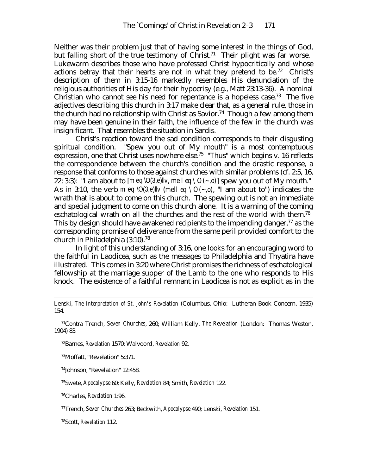Neither was their problem just that of having some interest in the things of God, but falling short of the true testimony of Christ.<sup>71</sup> Their plight was far worse. Lukewarm describes those who have professed Christ hypocritically and whose actions betray that their hearts are not in what they pretend to be.<sup>72</sup> Christ's description of them in 3:15-16 markedly resembles His denunciation of the religious authorities of His day for their hypocrisy (e.g., Matt 23:13-36). A nominal Christian who cannot see his need for repentance is a hopeless case.<sup>73</sup> The five adjectives describing this church in 3:17 make clear that, as a general rule, those in the church had no relationship with Christ as Savior.<sup>74</sup> Though a few among them may have been genuine in their faith, the influence of the few in the church was insignificant. That resembles the situation in Sardis.

Christ's reaction toward the sad condition corresponds to their disgusting spiritual condition. "Spew you out of My mouth" is a most contemptuous expression, one that Christ uses nowhere else.<sup>75</sup> "Thus" which begins v. 16 reflects the correspondence between the church's condition and the drastic response, a response that conforms to those against churches with similar problems (cf. 2:5, 16, 22; 3:3): "I am about to  $[m \text{ eq } \setminus O(3, e)]$   $[w, \text{ mell } eq \setminus O(-, 0)]$  spew you out of My mouth." As in 3:10, the verb m eq  $\langle O(3,e) \rangle$  *mell eq*  $\langle O(-,0), \square \rangle$  am about to") indicates the wrath that is about to come on this church. The spewing out is not an immediate and special judgment to come on this church alone. It is a warning of the coming eschatological wrath on all the churches and the rest of the world with them.<sup>76</sup> This by design should have awakened recipients to the impending danger, $77$  as the corresponding promise of deliverance from the same peril provided comfort to the church in Philadelphia (3:10).78

In light of this understanding of 3:16, one looks for an encouraging word to the faithful in Laodicea, such as the messages to Philadelphia and Thyatira have illustrated. This comes in 3:20 where Christ promises the richness of eschatological fellowship at the marriage supper of the Lamb to the one who responds to His knock. The existence of a faithful remnant in Laodicea is not as explicit as in the

 71Contra Trench, *Seven Churches*, 260; William Kelly, *The Revelation* (London: Thomas Weston, 1904) 83.

72Barnes, *Revelation* 1570; Walvoord, *Revelation* 92.

73Moffatt, "Revelation" 5:371.

74Johnson, "Revelation" 12:458.

75Swete, *Apocalypse* 60; Kelly, *Revelation* 84; Smith, *Revelation* 122.

76Charles, *Revelation* 1:96.

77Trench, *Seven Churches* 263; Beckwith, *Apocalypse* 490; Lenski, *Revelation* 151.

78Scott, *Revelation* 112.

Lenski, *The Interpretation of St. John's Revelation* (Columbus, Ohio: Lutheran Book Concern, 1935) 154.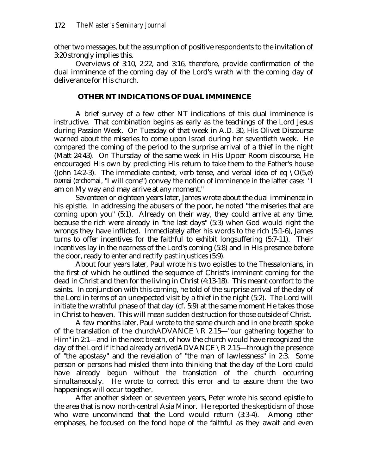other two messages, but the assumption of positive respondents to the invitation of 3:20 strongly implies this.

Overviews of 3:10, 2:22, and 3:16, therefore, provide confirmation of the dual imminence of the coming day of the Lord's wrath with the coming day of deliverance for His church.

# **OTHER NT INDICATIONS OF DUAL IMMINENCE**

A brief survey of a few other NT indications of this dual imminence is instructive. That combination begins as early as the teachings of the Lord Jesus during Passion Week. On Tuesday of that week in A.D. 30, His Olivet Discourse warned about the miseries to come upon Israel during her seventieth week. He compared the coming of the period to the surprise arrival of a thief in the night (Matt 24:43). On Thursday of the same week in His Upper Room discourse, He encouraged His own by predicting His return to take them to the Father's house (John 14:2-3). The immediate context, verb tense, and verbal idea of eq  $\setminus O(5,e)$ rxomai (*erchomai*, "I will come") convey the notion of imminence in the latter case: "I am on My way and may arrive at any moment."

Seventeen or eighteen years later, James wrote about the dual imminence in his epistle. In addressing the abusers of the poor, he noted "the miseries that are coming upon you" (5:1). Already on their way, they could arrive at any time, because the rich were already in "the last days" (5:3) when God would right the wrongs they have inflicted. Immediately after his words to the rich (5:1-6), James turns to offer incentives for the faithful to exhibit longsuffering (5:7-11). Their incentives lay in the nearness of the Lord's coming (5:8) and in His presence before the door, ready to enter and rectify past injustices (5:9).

About four years later, Paul wrote his two epistles to the Thessalonians, in the first of which he outlined the sequence of Christ's imminent coming for the dead in Christ and then for the living in Christ (4:13-18). This meant comfort to the saints. In conjunction with this coming, he told of the surprise arrival of the day of the Lord in terms of an unexpected visit by a thief in the night (5:2). The Lord will initiate the wrathful phase of that day (cf. 5:9) at the same moment He takes those in Christ to heaven. This will mean sudden destruction for those outside of Christ.

A few months later, Paul wrote to the same church and in one breath spoke of the translation of the churchADVANCE  $\R$  2.15—"our gathering together to Him" in 2:1—and in the next breath, of how the church would have recognized the day of the Lord if it had already arrivedADVANCE  $\R$  2.15—through the presence of "the apostasy" and the revelation of "the man of lawlessness" in 2:3. Some person or persons had misled them into thinking that the day of the Lord could have already begun without the translation of the church occurring simultaneously. He wrote to correct this error and to assure them the two happenings will occur together.

After another sixteen or seventeen years, Peter wrote his second epistle to the area that is now north-central Asia Minor. He reported the skepticism of those who were unconvinced that the Lord would return (3:3-4). Among other emphases, he focused on the fond hope of the faithful as they await and even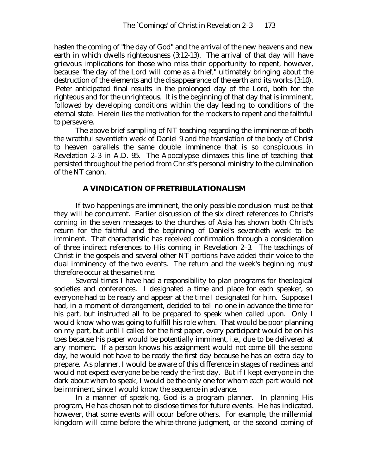hasten the coming of "the day of God" and the arrival of the new heavens and new earth in which dwells righteousness (3:12-13). The arrival of that day will have grievous implications for those who miss their opportunity to repent, however, because "the day of the Lord will come as a thief," ultimately bringing about the destruction of the elements and the disappearance of the earth and its works (3:10). Peter anticipated final results in the prolonged day of the Lord, both for the righteous and for the unrighteous. It is the beginning of that day that is imminent, followed by developing conditions within the day leading to conditions of the eternal state. Herein lies the motivation for the mockers to repent and the faithful to persevere.

The above brief sampling of NT teaching regarding the imminence of both the wrathful seventieth week of Daniel 9 and the translation of the body of Christ to heaven parallels the same double imminence that is so conspicuous in Revelation 2–3 in A.D. 95. The Apocalypse climaxes this line of teaching that persisted throughout the period from Christ's personal ministry to the culmination of the NT canon.

### **A VINDICATION OF PRETRIBULATIONALISM**

If two happenings are imminent, the only possible conclusion must be that they will be concurrent. Earlier discussion of the six direct references to Christ's coming in the seven messages to the churches of Asia has shown both Christ's return for the faithful and the beginning of Daniel's seventieth week to be imminent. That characteristic has received confirmation through a consideration of three indirect references to His coming in Revelation 2–3. The teachings of Christ in the gospels and several other NT portions have added their voice to the dual imminency of the two events. The return and the week's beginning must therefore occur at the same time.

Several times I have had a responsibility to plan programs for theological societies and conferences. I designated a time and place for each speaker, so everyone had to be ready and appear at the time I designated for him. Suppose I had, in a moment of derangement, decided to tell no one in advance the time for his part, but instructed all to be prepared to speak when called upon. Only I would know who was going to fulfill his role when. That would be poor planning on my part, but until I called for the first paper, every participant would be on his toes because his paper would be potentially imminent, i.e., due to be delivered at any moment. If a person knows his assignment would not come till the second day, he would not have to be ready the first day because he has an extra day to prepare. As planner, I would be aware of this difference in stages of readiness and would not expect everyone be be ready the first day. But if I kept everyone in the dark about when to speak, I would be the only one for whom each part would not be imminent, since I would know the sequence in advance.

In a manner of speaking, God is a program planner. In planning His program, He has chosen not to disclose times for future events. He has indicated, however, that some events will occur before others. For example, the millennial kingdom will come before the white-throne judgment, or the second coming of